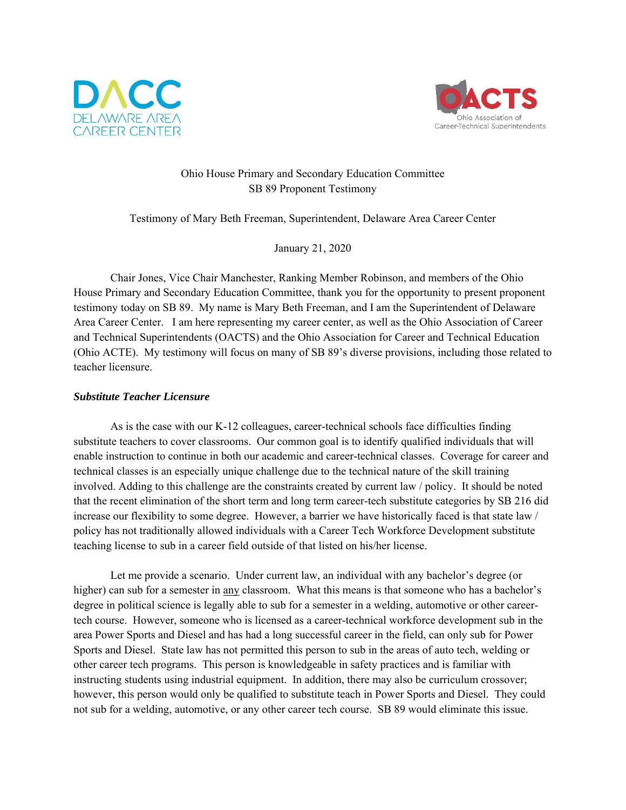



# Ohio House Primary and Secondary Education Committee SB 89 Proponent Testimony

Testimony of Mary Beth Freeman, Superintendent, Delaware Area Career Center

January 21, 2020

 Chair Jones, Vice Chair Manchester, Ranking Member Robinson, and members of the Ohio House Primary and Secondary Education Committee, thank you for the opportunity to present proponent testimony today on SB 89. My name is Mary Beth Freeman, and I am the Superintendent of Delaware Area Career Center. I am here representing my career center, as well as the Ohio Association of Career and Technical Superintendents (OACTS) and the Ohio Association for Career and Technical Education (Ohio ACTE). My testimony will focus on many of SB 89's diverse provisions, including those related to teacher licensure.

## *Substitute Teacher Licensure*

 As is the case with our K-12 colleagues, career-technical schools face difficulties finding substitute teachers to cover classrooms. Our common goal is to identify qualified individuals that will enable instruction to continue in both our academic and career-technical classes. Coverage for career and technical classes is an especially unique challenge due to the technical nature of the skill training involved. Adding to this challenge are the constraints created by current law / policy. It should be noted that the recent elimination of the short term and long term career-tech substitute categories by SB 216 did increase our flexibility to some degree. However, a barrier we have historically faced is that state law / policy has not traditionally allowed individuals with a Career Tech Workforce Development substitute teaching license to sub in a career field outside of that listed on his/her license.

Let me provide a scenario. Under current law, an individual with any bachelor's degree (or higher) can sub for a semester in any classroom. What this means is that someone who has a bachelor's degree in political science is legally able to sub for a semester in a welding, automotive or other careertech course. However, someone who is licensed as a career-technical workforce development sub in the area Power Sports and Diesel and has had a long successful career in the field, can only sub for Power Sports and Diesel. State law has not permitted this person to sub in the areas of auto tech, welding or other career tech programs. This person is knowledgeable in safety practices and is familiar with instructing students using industrial equipment. In addition, there may also be curriculum crossover; however, this person would only be qualified to substitute teach in Power Sports and Diesel. They could not sub for a welding, automotive, or any other career tech course. SB 89 would eliminate this issue.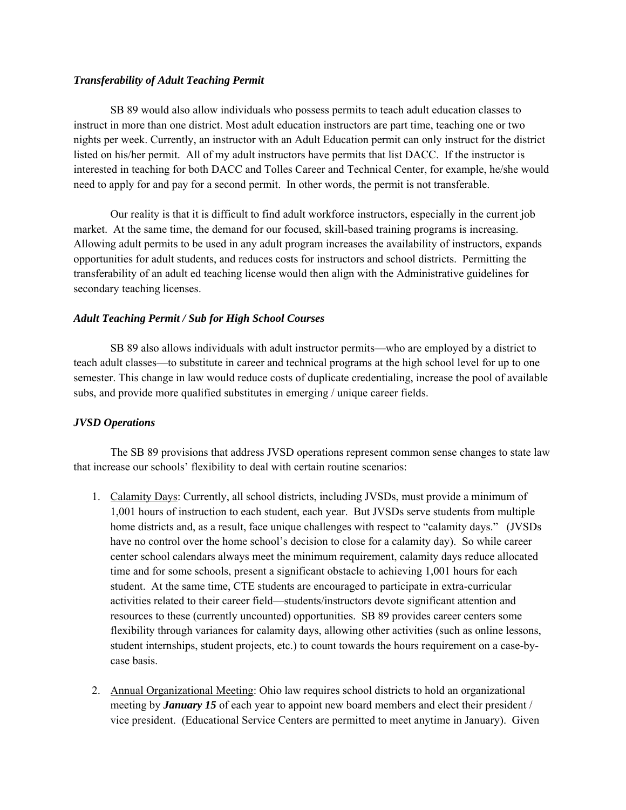# *Transferability of Adult Teaching Permit*

 SB 89 would also allow individuals who possess permits to teach adult education classes to instruct in more than one district. Most adult education instructors are part time, teaching one or two nights per week. Currently, an instructor with an Adult Education permit can only instruct for the district listed on his/her permit. All of my adult instructors have permits that list DACC. If the instructor is interested in teaching for both DACC and Tolles Career and Technical Center, for example, he/she would need to apply for and pay for a second permit. In other words, the permit is not transferable.

 Our reality is that it is difficult to find adult workforce instructors, especially in the current job market. At the same time, the demand for our focused, skill-based training programs is increasing. Allowing adult permits to be used in any adult program increases the availability of instructors, expands opportunities for adult students, and reduces costs for instructors and school districts. Permitting the transferability of an adult ed teaching license would then align with the Administrative guidelines for secondary teaching licenses.

## *Adult Teaching Permit / Sub for High School Courses*

 SB 89 also allows individuals with adult instructor permits—who are employed by a district to teach adult classes—to substitute in career and technical programs at the high school level for up to one semester. This change in law would reduce costs of duplicate credentialing, increase the pool of available subs, and provide more qualified substitutes in emerging / unique career fields.

#### *JVSD Operations*

The SB 89 provisions that address JVSD operations represent common sense changes to state law that increase our schools' flexibility to deal with certain routine scenarios:

- 1. Calamity Days: Currently, all school districts, including JVSDs, must provide a minimum of 1,001 hours of instruction to each student, each year. But JVSDs serve students from multiple home districts and, as a result, face unique challenges with respect to "calamity days." (JVSDs have no control over the home school's decision to close for a calamity day). So while career center school calendars always meet the minimum requirement, calamity days reduce allocated time and for some schools, present a significant obstacle to achieving 1,001 hours for each student. At the same time, CTE students are encouraged to participate in extra-curricular activities related to their career field—students/instructors devote significant attention and resources to these (currently uncounted) opportunities. SB 89 provides career centers some flexibility through variances for calamity days, allowing other activities (such as online lessons, student internships, student projects, etc.) to count towards the hours requirement on a case-bycase basis.
- 2. Annual Organizational Meeting: Ohio law requires school districts to hold an organizational meeting by *January 15* of each year to appoint new board members and elect their president / vice president. (Educational Service Centers are permitted to meet anytime in January). Given